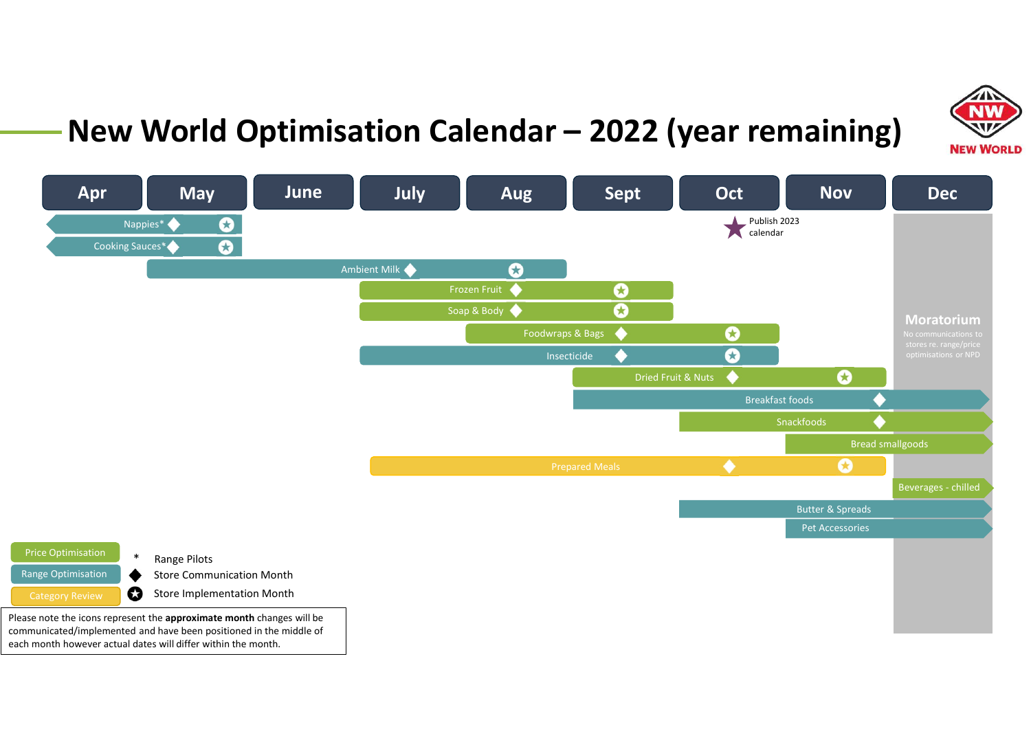

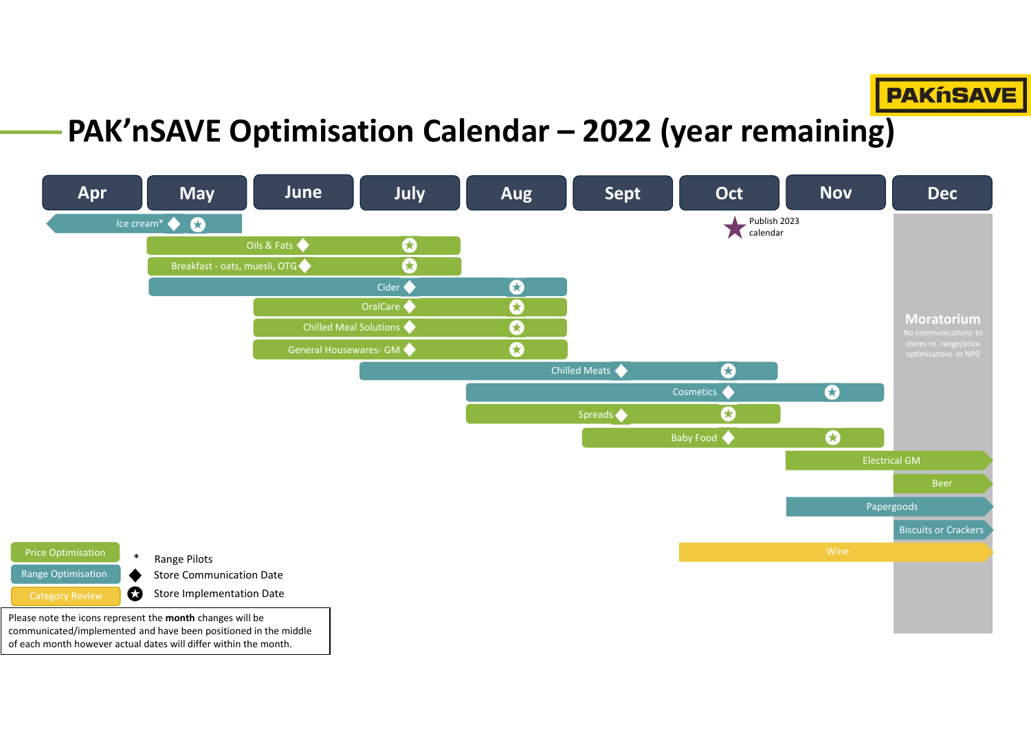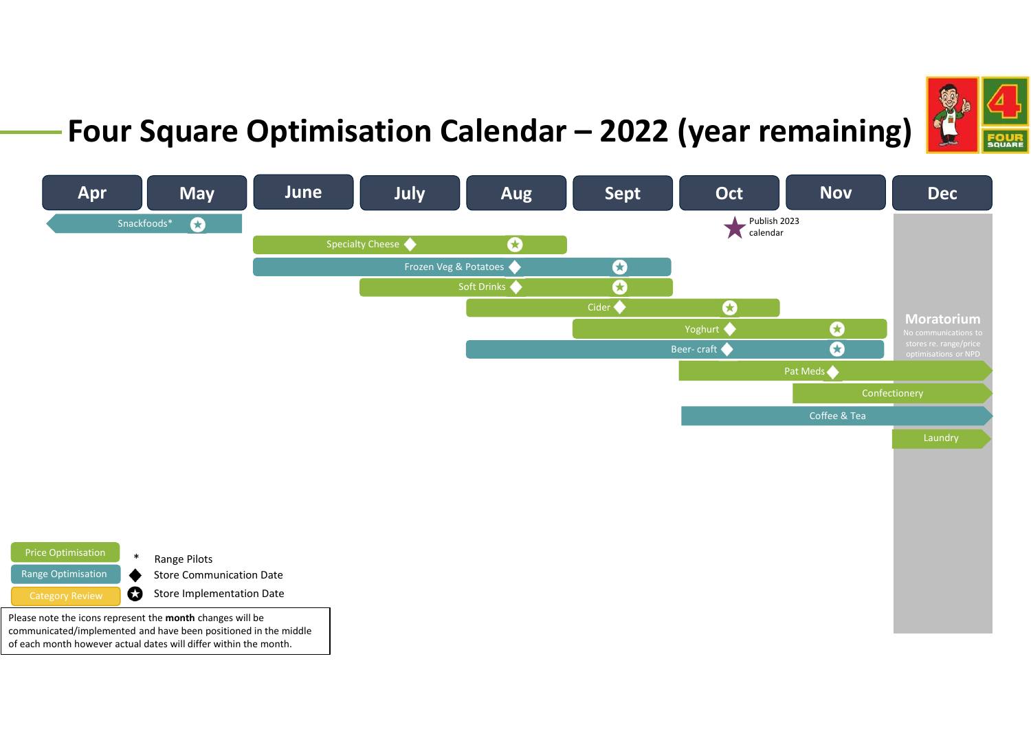